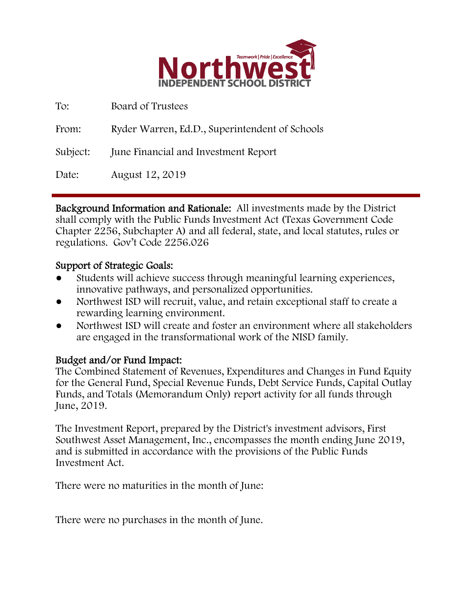

| To:      | Board of Trustees                              |
|----------|------------------------------------------------|
| From:    | Ryder Warren, Ed.D., Superintendent of Schools |
| Subject: | June Financial and Investment Report           |
| Date:    | August 12, 2019                                |

Background Information and Rationale: All investments made by the District shall comply with the Public Funds Investment Act (Texas Government Code Chapter 2256, Subchapter A) and all federal, state, and local statutes, rules or regulations. Gov't Code 2256.026

### Support of Strategic Goals:

- Students will achieve success through meaningful learning experiences, innovative pathways, and personalized opportunities.
- Northwest ISD will recruit, value, and retain exceptional staff to create a rewarding learning environment.
- Northwest ISD will create and foster an environment where all stakeholders are engaged in the transformational work of the NISD family.

## Budget and/or Fund Impact:

The Combined Statement of Revenues, Expenditures and Changes in Fund Equity for the General Fund, Special Revenue Funds, Debt Service Funds, Capital Outlay Funds, and Totals (Memorandum Only) report activity for all funds through June, 2019.

The Investment Report, prepared by the District's investment advisors, First Southwest Asset Management, Inc., encompasses the month ending June 2019, and is submitted in accordance with the provisions of the Public Funds Investment Act.

There were no maturities in the month of June:

There were no purchases in the month of June.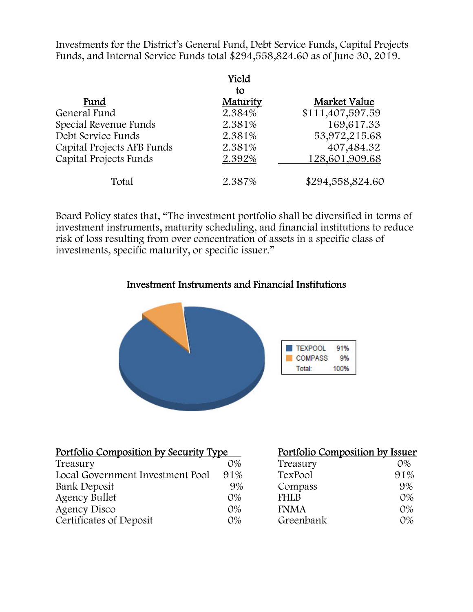Investments for the District's General Fund, Debt Service Funds, Capital Projects Funds, and Internal Service Funds total \$294,558,824.60 as of June 30, 2019.

|                            | Yield<br>to |                  |
|----------------------------|-------------|------------------|
| Fund                       | Maturity    | Market Value     |
| General Fund               | 2.384%      | \$111,407,597.59 |
| Special Revenue Funds      | 2.381%      | 169,617.33       |
| Debt Service Funds         | 2.381%      | 53,972,215.68    |
| Capital Projects AFB Funds | 2.381%      | 407,484.32       |
| Capital Projects Funds     | 2.392%      | 128,601,909.68   |
| Total                      | 2.387%      | \$294,558,824.60 |

Board Policy states that, "The investment portfolio shall be diversified in terms of investment instruments, maturity scheduling, and financial institutions to reduce risk of loss resulting from over concentration of assets in a specific class of investments, specific maturity, or specific issuer."

#### Investment Instruments and Financial Institutions



| Portfolio Composition by Security Type |       | Portfolio Composition by Issuer |       |
|----------------------------------------|-------|---------------------------------|-------|
| Treasury                               | $O\%$ | Treasury                        | 0%    |
| Local Government Investment Pool       | 91%   | TexPool                         | 91%   |
| Bank Deposit                           | 9%    | Compass                         | 9%    |
| <b>Agency Bullet</b>                   | $O\%$ | <b>FHLB</b>                     | $O\%$ |
| <b>Agency Disco</b>                    | $O\%$ | <b>FNMA</b>                     | $O\%$ |
| Certificates of Deposit                | $O\%$ | Greenbank                       | $O\%$ |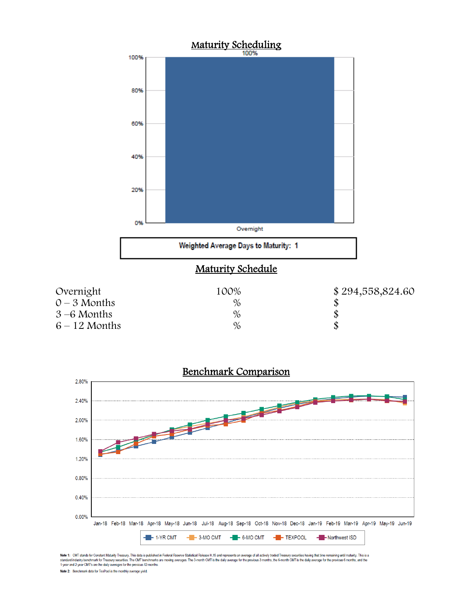



Note 1: CMT stands for Constant Maturity Treasury. This data is published in Federal Reserve Statistical Release H.15 and represents an average of all actively traded Treasury securities having that time remaining until ma

Note 2: Benchmark data for TexPool is the monthly average yield.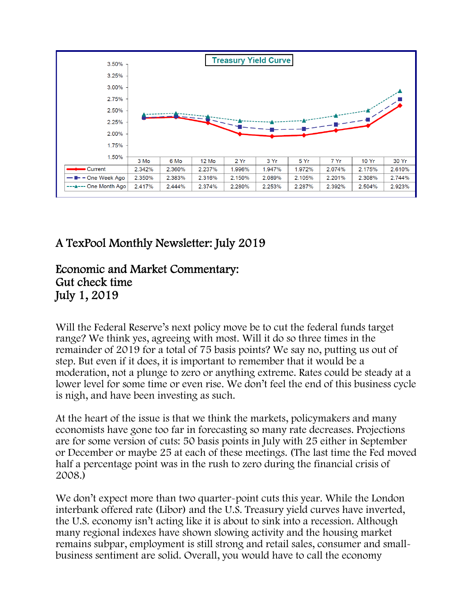

# A TexPool Monthly Newsletter: July 2019

## Economic and Market Commentary: Gut check time July 1, 2019

Will the Federal Reserve's next policy move be to cut the federal funds target range? We think yes, agreeing with most. Will it do so three times in the remainder of 2019 for a total of 75 basis points? We say no, putting us out of step. But even if it does, it is important to remember that it would be a moderation, not a plunge to zero or anything extreme. Rates could be steady at a lower level for some time or even rise. We don't feel the end of this business cycle is nigh, and have been investing as such.

At the heart of the issue is that we think the markets, policymakers and many economists have gone too far in forecasting so many rate decreases. Projections are for some version of cuts: 50 basis points in July with 25 either in September or December or maybe 25 at each of these meetings. (The last time the Fed moved half a percentage point was in the rush to zero during the financial crisis of 2008.)

We don't expect more than two quarter-point cuts this year. While the London interbank offered rate (Libor) and the U.S. Treasury yield curves have inverted, the U.S. economy isn't acting like it is about to sink into a recession. Although many regional indexes have shown slowing activity and the housing market remains subpar, employment is still strong and retail sales, consumer and smallbusiness sentiment are solid. Overall, you would have to call the economy